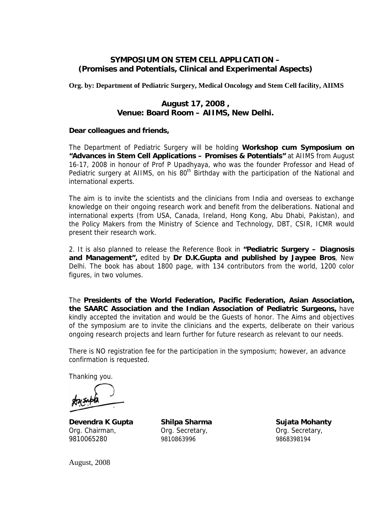# **SYMPOSIUM ON STEM CELL APPLICATION – (Promises and Potentials, Clinical and Experimental Aspects)**

**Org. by: Department of Pediatric Surgery, Medical Oncology and Stem Cell facility, AIIMS** 

### **August 17, 2008 , Venue: Board Room – AIIMS, New Delhi.**

#### **Dear colleagues and friends,**

The Department of Pediatric Surgery will be holding **Workshop cum Symposium on "Advances in Stem Cell Applications – Promises & Potentials"** at AIIMS from August 16-17, 2008 in honour of Prof P Upadhyaya, who was the founder Professor and Head of Pediatric surgery at AIIMS, on his  $80<sup>th</sup>$  Birthday with the participation of the National and international experts.

The aim is to invite the scientists and the clinicians from India and overseas to exchange knowledge on their ongoing research work and benefit from the deliberations. National and international experts (from USA, Canada, Ireland, Hong Kong, Abu Dhabi, Pakistan), and the Policy Makers from the Ministry of Science and Technology, DBT, CSIR, ICMR would present their research work.

2. It is also planned to release the Reference Book in **"Pediatric Surgery – Diagnosis and Management",** edited by **Dr D.K.Gupta and published by Jaypee Bros**, New Delhi. The book has about 1800 page, with 134 contributors from the world, 1200 color figures, in two volumes.

The **Presidents of the World Federation, Pacific Federation, Asian Association, the SAARC Association and the Indian Association of Pediatric Surgeons,** have kindly accepted the invitation and would be the Guests of honor. The Aims and objectives of the symposium are to invite the clinicians and the experts, deliberate on their various ongoing research projects and learn further for future research as relevant to our needs.

There is NO registration fee for the participation in the symposium; however, an advance confirmation is requested.

Thanking you.

**Devendra K Gupta** Shilpa Sharma **Sujata Mohanty** Org. Chairman, Org. Secretary, Org. Secretary, 9810065280 9810863996 9868398194

August, 2008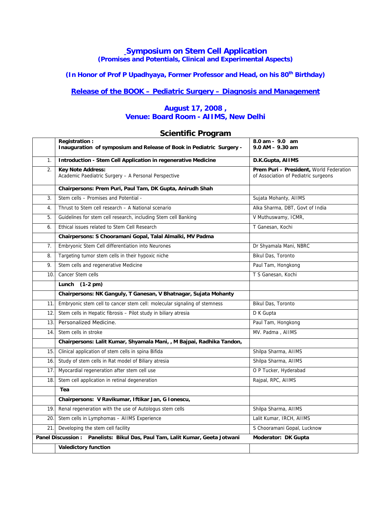#### **Symposium on Stem Cell Application (Promises and Potentials, Clinical and Experimental Aspects)**

# (In Honor of Prof P Upadhyaya, Former Professor and Head, on his 80<sup>th</sup> Birthday)

# **Release of the BOOK – Pediatric Surgery – Diagnosis and Management**

#### **August 17, 2008 , Venue: Board Room - AIIMS, New Delhi**

#### **Scientific Program**

|                                                                                                      | Registration:<br>Inauguration of symposium and Release of Book in Pediatric Surgery - | 8.0 am - 9.0 am<br>$9.0$ AM $-$ 9.30 am                                         |
|------------------------------------------------------------------------------------------------------|---------------------------------------------------------------------------------------|---------------------------------------------------------------------------------|
| 1.                                                                                                   | Introduction - Stem Cell Application in regenerative Medicine                         | D.K.Gupta, AIIMS                                                                |
| 2.                                                                                                   | <b>Key Note Address:</b><br>Academic Paediatric Surgery - A Personal Perspective      | Prem Puri - President, World Federation<br>of Association of Pediatric surgeons |
|                                                                                                      | Chairpersons: Prem Puri, Paul Tam, DK Gupta, Anirudh Shah                             |                                                                                 |
| 3.                                                                                                   | Stem cells - Promises and Potential -                                                 | Sujata Mohanty, AIIMS                                                           |
| 4.                                                                                                   | Thrust to Stem cell research - A National scenario                                    | Alka Sharma, DBT, Govt of India                                                 |
| 5.                                                                                                   | Guidelines for stem cell research, including Stem cell Banking                        | V Muthuswamy, ICMR,                                                             |
| 6.                                                                                                   | Ethical issues related to Stem Cell Research                                          | T Ganesan, Kochi                                                                |
|                                                                                                      | Chairpersons: S Chooramani Gopal, Talal Almalki, MV Padma                             |                                                                                 |
| 7.                                                                                                   | Embryonic Stem Cell differentiation into Neurones                                     | Dr Shyamala Mani, NBRC                                                          |
| 8.                                                                                                   | Targeting tumor stem cells in their hypoxic niche                                     | Bikul Das, Toronto                                                              |
| 9.                                                                                                   | Stem cells and regenerative Medicine                                                  | Paul Tam, Hongkong                                                              |
| 10.                                                                                                  | Cancer Stem cells                                                                     | T S Ganesan, Kochi                                                              |
|                                                                                                      | Lunch (1-2 pm)                                                                        |                                                                                 |
|                                                                                                      | Chairpersons: NK Ganguly, T Ganesan, V Bhatnagar, Sujata Mohanty                      |                                                                                 |
| 11.                                                                                                  | Embryonic stem cell to cancer stem cell: molecular signaling of stemness              | Bikul Das, Toronto                                                              |
| 12.                                                                                                  | Stem cells in Hepatic fibrosis - Pilot study in biliary atresia                       | D K Gupta                                                                       |
| 13.                                                                                                  | Personalized Medicine.                                                                | Paul Tam, Hongkong                                                              |
| 14.                                                                                                  | Stem cells in stroke                                                                  | MV. Padma, AIIMS                                                                |
|                                                                                                      | Chairpersons: Lalit Kumar, Shyamala Mani, , M Bajpai, Radhika Tandon,                 |                                                                                 |
| 15.                                                                                                  | Clinical application of stem cells in spina Bifida                                    | Shilpa Sharma, AIIMS                                                            |
| 16.                                                                                                  | Study of stem cells in Rat model of Biliary atresia                                   | Shilpa Sharma, AIIMS                                                            |
| 17.                                                                                                  | Myocardial regeneration after stem cell use                                           | O P Tucker, Hyderabad                                                           |
| 18.                                                                                                  | Stem cell application in retinal degeneration                                         | Rajpal, RPC, AIIMS                                                              |
|                                                                                                      | Tea                                                                                   |                                                                                 |
|                                                                                                      | Chairpersons: V Ravikumar, Iftikar Jan, G Ionescu,                                    |                                                                                 |
| 19.                                                                                                  | Renal regeneration with the use of Autologus stem cells                               | Shilpa Sharma, AIIMS                                                            |
| 20.                                                                                                  | Stem cells in Lymphomas - AIIMS Experience                                            | Lalit Kumar, IRCH, AIIMS                                                        |
| 21.                                                                                                  | Developing the stem cell facility                                                     | S Chooramani Gopal, Lucknow                                                     |
| Panel Discussion : Panelists: Bikul Das, Paul Tam, Lalit Kumar, Geeta Jotwani<br>Moderator: DK Gupta |                                                                                       |                                                                                 |
|                                                                                                      | <b>Valedictory function</b>                                                           |                                                                                 |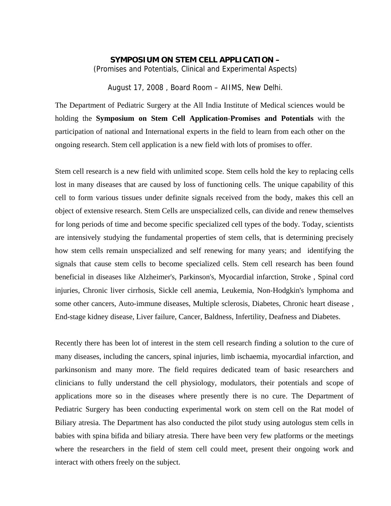#### **SYMPOSIUM ON STEM CELL APPLICATION –**

(Promises and Potentials, Clinical and Experimental Aspects)

August 17, 2008 , Board Room – AIIMS, New Delhi.

The Department of Pediatric Surgery at the All India Institute of Medical sciences would be holding the **Symposium on Stem Cell Application**-**Promises and Potentials** with the participation of national and International experts in the field to learn from each other on the ongoing research. Stem cell application is a new field with lots of promises to offer.

Stem cell research is a new field with unlimited scope. Stem cells hold the key to replacing cells lost in many diseases that are caused by loss of functioning cells. The unique capability of this cell to form various tissues under definite signals received from the body, makes this cell an object of extensive research. Stem Cells are unspecialized cells, can divide and renew themselves for long periods of time and become specific specialized cell types of the body. Today, scientists are intensively studying the fundamental properties of stem cells, that is determining precisely how stem cells remain unspecialized and self renewing for many years; and identifying the signals that cause stem cells to become specialized cells. Stem cell research has been found beneficial in diseases like Alzheimer's, Parkinson's, Myocardial infarction, Stroke , Spinal cord injuries, Chronic liver cirrhosis, Sickle cell anemia, Leukemia, Non-Hodgkin's lymphoma and some other cancers, Auto-immune diseases, Multiple sclerosis, Diabetes, Chronic heart disease , End-stage kidney disease, Liver failure, Cancer, Baldness, Infertility, Deafness and Diabetes.

Recently there has been lot of interest in the stem cell research finding a solution to the cure of many diseases, including the cancers, spinal injuries, limb ischaemia, myocardial infarction, and parkinsonism and many more. The field requires dedicated team of basic researchers and clinicians to fully understand the cell physiology, modulators, their potentials and scope of applications more so in the diseases where presently there is no cure. The Department of Pediatric Surgery has been conducting experimental work on stem cell on the Rat model of Biliary atresia. The Department has also conducted the pilot study using autologus stem cells in babies with spina bifida and biliary atresia. There have been very few platforms or the meetings where the researchers in the field of stem cell could meet, present their ongoing work and interact with others freely on the subject.